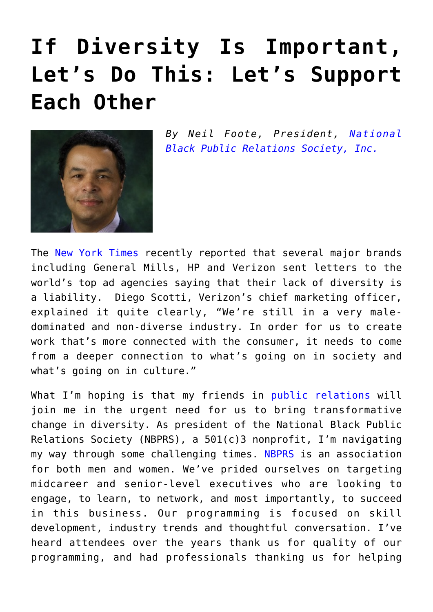## **[If Diversity Is Important,](https://www.commpro.biz/if-diversity-is-important-lets-do-this-lets-support-each-other/) [Let's Do This: Let's Support](https://www.commpro.biz/if-diversity-is-important-lets-do-this-lets-support-each-other/) [Each Other](https://www.commpro.biz/if-diversity-is-important-lets-do-this-lets-support-each-other/)**



*By Neil Foote, President, [National](#page--1-0) [Black Public Relations Society, Inc.](#page--1-0)*

The [New York Times](https://www.nytimes.com/2016/10/01/business/media/brands-to-ad-agencies-diversify-or-else.html?_r=0) recently reported that several major brands including General Mills, HP and Verizon sent letters to the world's top ad agencies saying that their lack of diversity is a liability. Diego Scotti, Verizon's chief marketing officer, explained it quite clearly, "We're still in a very maledominated and non-diverse industry. In order for us to create work that's more connected with the consumer, it needs to come from a deeper connection to what's going on in society and what's going on in culture."

What I'm hoping is that my friends in [public relations](https://www.commpro.biz/public-relations-section/) will join me in the urgent need for us to bring transformative change in diversity. As president of the National Black Public Relations Society (NBPRS), a 501(c)3 nonprofit, I'm navigating my way through some challenging times. [NBPRS](https://nbprs.org/) is an association for both men and women. We've prided ourselves on targeting midcareer and senior-level executives who are looking to engage, to learn, to network, and most importantly, to succeed in this business. Our programming is focused on skill development, industry trends and thoughtful conversation. I've heard attendees over the years thank us for quality of our programming, and had professionals thanking us for helping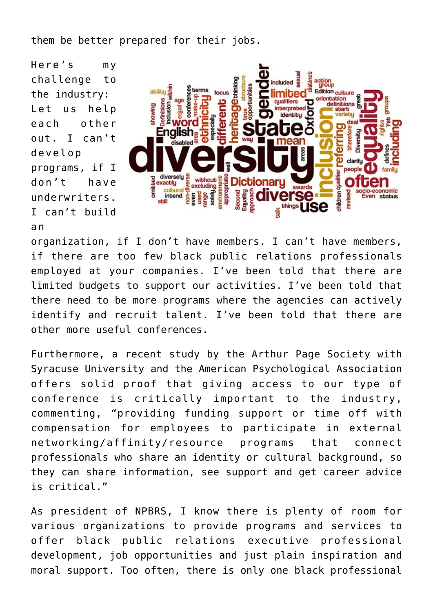them be better prepared for their jobs.

Here's my challenge to the industry: Let us help each other out. I can't develop programs, if I don't have underwriters. I can't build a n



organization, if I don't have members. I can't have members, if there are too few black public relations professionals employed at your companies. I've been told that there are limited budgets to support our activities. I've been told that there need to be more programs where the agencies can actively identify and recruit talent. I've been told that there are other more useful conferences.

Furthermore, a recent study by the Arthur Page Society with Syracuse University and the American Psychological Association offers solid proof that giving access to our type of conference is critically important to the industry, commenting, "providing funding support or time off with compensation for employees to participate in external networking/affinity/resource programs that connect professionals who share an identity or cultural background, so they can share information, see support and get career advice is critical."

As president of NPBRS, I know there is plenty of room for various organizations to provide programs and services to offer black public relations executive professional development, job opportunities and just plain inspiration and moral support. Too often, there is only one black professional